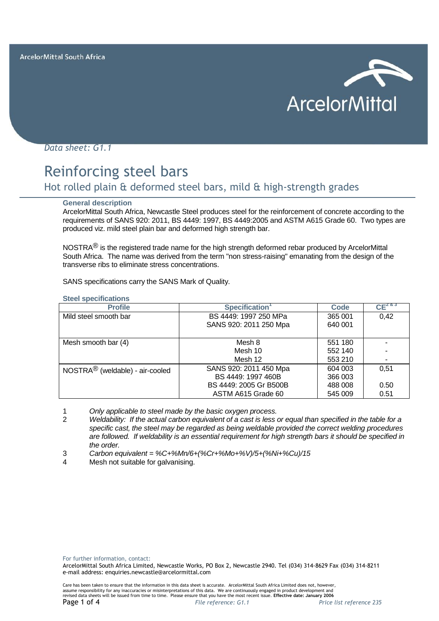

*Data sheet: G1.1*

# Reinforcing steel bars

# Hot rolled plain & deformed steel bars, mild & high-strength grades

#### **General description**

ArcelorMittal South Africa, Newcastle Steel produces steel for the reinforcement of concrete according to the requirements of SANS 920: 2011, BS 4449: 1997, BS 4449:2005 and ASTM A615 Grade 60. Two types are produced viz. mild steel plain bar and deformed high strength bar.

NOSTRA $<sup>®</sup>$  is the registered trade name for the high strength deformed rebar produced by ArcelorMittal</sup> South Africa. The name was derived from the term "non stress-raising" emanating from the design of the transverse ribs to eliminate stress concentrations.

SANS specifications carry the SANS Mark of Quality.

| <b>Steel specifications</b> |
|-----------------------------|
| - -                         |

| <b>Profile</b>                              | Specification <sup>1</sup> | Code    | $CE^{2.8.3}$ |
|---------------------------------------------|----------------------------|---------|--------------|
| Mild steel smooth bar                       | BS 4449: 1997 250 MPa      | 365 001 | 0,42         |
|                                             | SANS 920: 2011 250 Mpa     | 640 001 |              |
|                                             |                            |         |              |
| Mesh smooth bar (4)                         | Mesh 8                     | 551 180 |              |
|                                             | Mesh 10                    | 552 140 |              |
|                                             | Mesh 12                    | 553 210 |              |
| NOSTRA <sup>®</sup> (weldable) - air-cooled | SANS 920: 2011 450 Mpa     | 604 003 | 0.51         |
|                                             | BS 4449: 1997 460B         | 366 003 |              |
|                                             | BS 4449: 2005 Gr B500B     | 488 008 | 0.50         |
|                                             | ASTM A615 Grade 60         | 545 009 | 0.51         |

1 *Only applicable to steel made by the basic oxygen process.*

- 2 *Weldability: If the actual carbon equivalent of a cast is less or equal than specified in the table for a specific cast, the steel may be regarded as being weldable provided the correct welding procedures are followed. If weldability is an essential requirement for high strength bars it should be specified in the order.*
- 3 *Carbon equivalent = %C+%Mn/6+(%Cr+%Mo+%V)/5+(%Ni+%Cu)/15*
- 4 Mesh not suitable for galvanising.

For further information, contact:

ArcelorMittal South Africa Limited, Newcastle Works, PO Box 2, Newcastle 2940. Tel (034) 314-8629 Fax (034) 314-8211 e-mail address: enquiries.newcastle@arcelormittal.com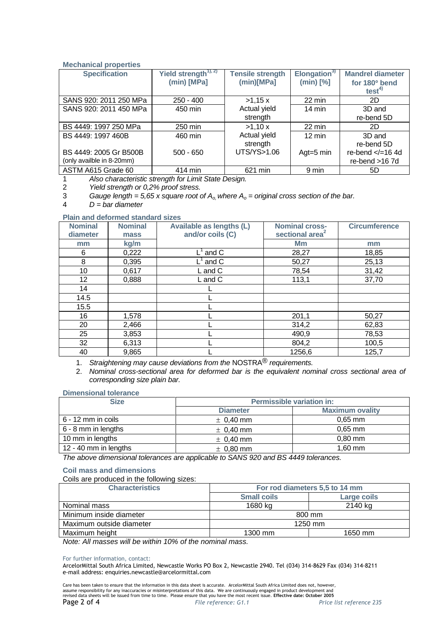# **Mechanical properties**

| <b>Specification</b>      | Yield strength <sup>1), 2)</sup> | <b>Tensile strength</b> | Elongation <sup>3</sup> | <b>Mandrel diameter</b> |
|---------------------------|----------------------------------|-------------------------|-------------------------|-------------------------|
|                           | $(min)$ [MPa]                    | (min)[MPa]              | $(min)$ [%]             | for 180° bend           |
|                           |                                  |                         |                         | test <sup>4</sup>       |
| SANS 920: 2011 250 MPa    | $250 - 400$                      | >1,15x                  | 22 min                  | 2D                      |
| SANS 920: 2011 450 MPa    | 450 min                          | Actual yield            | $14 \text{ min}$        | 3D and                  |
|                           |                                  | strength                |                         | re-bend 5D              |
| BS 4449: 1997 250 MPa     | 250 min                          | >1,10x                  | $22 \text{ min}$        | 2D.                     |
| BS 4449: 1997 460B        | 460 min                          | Actual yield            | $12 \text{ min}$        | 3D and                  |
|                           |                                  | strength                |                         | re-bend 5D              |
| BS 4449: 2005 Gr B500B    | $500 - 650$                      | UTS/YS>1.06             | Agt= $5 \text{ min}$    | re-bend $\lt$ /=164d    |
| (only availble in 8-20mm) |                                  |                         |                         | re-bend >16 7d          |
| ASTM A615 Grade 60        | 414 min                          | 621 min                 | 9 min                   | 5D                      |

1 *Also characteristic strength for Limit State Design.*

2 *Yield strength or 0,2% proof stress.*

3 *Gauge length = 5,65 x square root of A<sub>o,</sub> where A<sub>o</sub> = original cross section of the bar.*<br>4 D = bar diameter

4 *D = bar diameter*

# **Plain and deformed standard sizes**

| <b>Nominal</b>  | <b>Nominal</b> | Available as lengths (L)       | <b>Nominal cross-</b>       | <b>Circumference</b> |
|-----------------|----------------|--------------------------------|-----------------------------|----------------------|
| diameter        | mass           | and/or coils (C)               | sectional area <sup>2</sup> |                      |
| mm              | kg/m           |                                | Mm                          | mm                   |
| 6               | 0,222          | $\mathsf{L}^1$ and $\mathsf C$ | 28,27                       | 18,85                |
| 8               | 0,395          | _ˈ and C                       | 50,27                       | 25,13                |
| 10              | 0,617          | L and C                        | 78,54                       | 31,42                |
| 12 <sup>2</sup> | 0,888          | L and C                        | 113,1                       | 37,70                |
| 14              |                |                                |                             |                      |
| 14.5            |                |                                |                             |                      |
| 15.5            |                |                                |                             |                      |
| 16              | 1,578          |                                | 201,1                       | 50,27                |
| 20              | 2,466          |                                | 314,2                       | 62,83                |
| 25              | 3,853          |                                | 490,9                       | 78,53                |
| 32              | 6,313          |                                | 804,2                       | 100,5                |
| 40              | 9,865          |                                | 1256,6                      | 125,7                |

1. *Straightening may cause deviations from the* NOSTRA® *requirements.*

2. *Nominal cross-sectional area for deformed bar is the equivalent nominal cross sectional area of corresponding size plain bar.*

**Dimensional tolerance**

| <b>Size</b>           | <b>Permissible variation in:</b> |                        |  |
|-----------------------|----------------------------------|------------------------|--|
|                       | <b>Diameter</b>                  | <b>Maximum ovality</b> |  |
| 6 - 12 mm in coils    | $\pm$ 0.40 mm                    | $0,65$ mm              |  |
| 6 - 8 mm in lengths   | $\pm$ 0,40 mm                    | $0,65$ mm              |  |
| 10 mm in lengths      | $\pm$ 0.40 mm                    | $0,80$ mm              |  |
| 12 - 40 mm in lengths | $\pm$ 0,80 mm                    | $1.60$ mm              |  |

*The above dimensional tolerances are applicable to SANS 920 and BS 4449 tolerances.*

# **Coil mass and dimensions**

Coils are produced in the following sizes:

| <b>Characteristics</b>   | For rod diameters 5,5 to 14 mm |             |  |
|--------------------------|--------------------------------|-------------|--|
|                          | <b>Small coils</b>             | Large coils |  |
| Nominal mass             | 1680 kg                        | 2140 kg     |  |
| Minimum inside diameter  | 800 mm                         |             |  |
| Maximum outside diameter | 1250 mm                        |             |  |
| Maximum height           | 1300 mm                        | 1650 mm     |  |

*Note: All masses will be within 10% of the nominal mass.*

#### For further information, contact:

ArcelorMittal South Africa Limited, Newcastle Works PO Box 2, Newcastle 2940. Tel (034) 314-8629 Fax (034) 314-8211 e-mail address: enquiries.newcastle@arcelormittal.com

Care has been taken to ensure that the information in this data sheet is accurate. ArcelorMittal South Africa Limited does not, however,<br>assume responsibility for any inaccuracies or misinterpretations of this data. We a Page 2 of 4 *File reference: G1.1 Price list reference 235*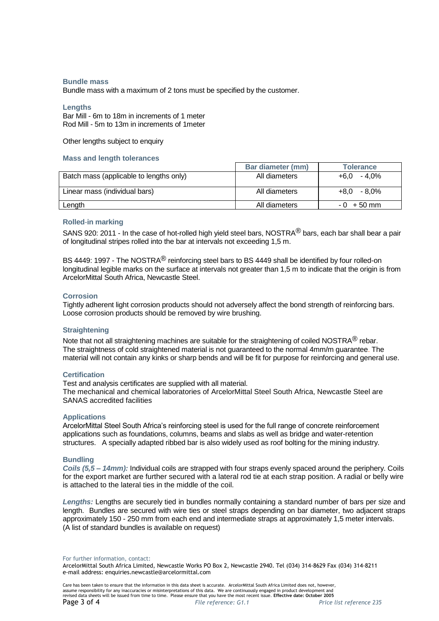#### **Bundle mass**

Bundle mass with a maximum of 2 tons must be specified by the customer.

#### **Lengths**

Bar Mill - 6m to 18m in increments of 1 meter Rod Mill - 5m to 13m in increments of 1meter

Other lengths subject to enquiry

#### **Mass and length tolerances**

|                                         | Bar diameter (mm) | <b>Tolerance</b> |
|-----------------------------------------|-------------------|------------------|
| Batch mass (applicable to lengths only) | All diameters     | $+6.0 - 4.0\%$   |
| Linear mass (individual bars)           | All diameters     | $+8.0 - 8.0\%$   |
| Length                                  | All diameters     | $-0$ + 50 mm     |

# **Rolled**-**in marking**

SANS 920: 2011 - In the case of hot-rolled high yield steel bars, NOSTRA<sup>®</sup> bars, each bar shall bear a pair of longitudinal stripes rolled into the bar at intervals not exceeding 1,5 m.

BS 4449: 1997 - The NOSTRA<sup>®</sup> reinforcing steel bars to BS 4449 shall be identified by four rolled-on longitudinal legible marks on the surface at intervals not greater than 1,5 m to indicate that the origin is from ArcelorMittal South Africa, Newcastle Steel.

# **Corrosion**

Tightly adherent light corrosion products should not adversely affect the bond strength of reinforcing bars. Loose corrosion products should be removed by wire brushing.

# **Straightening**

Note that not all straightening machines are suitable for the straightening of coiled NOSTRA $^{\circledR}$  rebar. The straightness of cold straightened material is not guaranteed to the normal 4mm/m guarantee. The material will not contain any kinks or sharp bends and will be fit for purpose for reinforcing and general use.

# **Certification**

Test and analysis certificates are supplied with all material.

The mechanical and chemical laboratories of ArcelorMittal Steel South Africa, Newcastle Steel are SANAS accredited facilities

# **Applications**

ArcelorMittal Steel South Africa's reinforcing steel is used for the full range of concrete reinforcement applications such as foundations, columns, beams and slabs as well as bridge and water-retention structures. A specially adapted ribbed bar is also widely used as roof bolting for the mining industry.

# **Bundling**

*Coils (5,5 – 14mm):* Individual coils are strapped with four straps evenly spaced around the periphery. Coils for the export market are further secured with a lateral rod tie at each strap position. A radial or belly wire is attached to the lateral ties in the middle of the coil.

*Lengths:* Lengths are securely tied in bundles normally containing a standard number of bars per size and length. Bundles are secured with wire ties or steel straps depending on bar diameter, two adjacent straps approximately 150 - 250 mm from each end and intermediate straps at approximately 1,5 meter intervals. (A list of standard bundles is available on request)

For further information, contact:

ArcelorMittal South Africa Limited, Newcastle Works PO Box 2, Newcastle 2940. Tel (034) 314-8629 Fax (034) 314-8211 e-mail address: enquiries.newcastle@arcelormittal.com